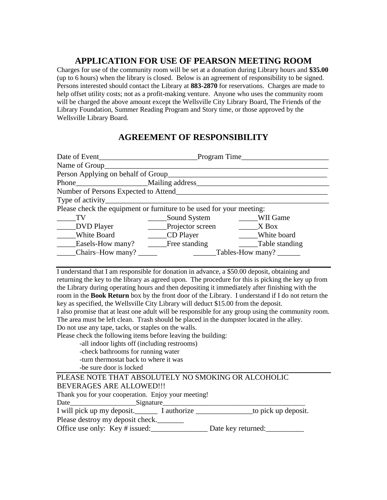## **APPLICATION FOR USE OF PEARSON MEETING ROOM**

Charges for use of the community room will be set at a donation during Library hours and **\$35.00** (up to 6 hours) when the library is closed. Below is an agreement of responsibility to be signed. Persons interested should contact the Library at **883-2870** for reservations. Charges are made to help offset utility costs; not as a profit-making venture. Anyone who uses the community room will be charged the above amount except the Wellsville City Library Board, The Friends of the Library Foundation, Summer Reading Program and Story time, or those approved by the Wellsville Library Board.

## **AGREEMENT OF RESPONSIBILITY**

| Date of Event                                                                    | Program Time          |                |  |  |  |
|----------------------------------------------------------------------------------|-----------------------|----------------|--|--|--|
| Name of Group                                                                    |                       |                |  |  |  |
| Person Applying on behalf of Group                                               |                       |                |  |  |  |
| Phone Mailing address                                                            |                       |                |  |  |  |
| Number of Persons Expected to Attend                                             |                       |                |  |  |  |
| Type of activity_<br><u> 1989 - Andrea Stadt Britain, amerikansk politiker (</u> |                       |                |  |  |  |
| Please check the equipment or furniture to be used for your meeting:             |                       |                |  |  |  |
| <b>TV</b>                                                                        | Sound System          | WII Game       |  |  |  |
| ______DVD Player                                                                 | _____Projector screen | $X$ Box        |  |  |  |
| <b>White Board</b>                                                               | ______CD Player       | White board    |  |  |  |
| Easels-How many?                                                                 | Free standing         | Table standing |  |  |  |
| Chairs–How many?                                                                 | Tables-How many?      |                |  |  |  |

I understand that I am responsible for donation in advance, a \$50.00 deposit, obtaining and returning the key to the library as agreed upon. The procedure for this is picking the key up from the Library during operating hours and then depositing it immediately after finishing with the room in the **Book Return** box by the front door of the Library. I understand if I do not return the key as specified, the Wellsville City Library will deduct \$15.00 from the deposit.

I also promise that at least one adult will be responsible for any group using the community room. The area must be left clean. Trash should be placed in the dumpster located in the alley. Do not use any tape, tacks, or staples on the walls.

Please check the following items before leaving the building:

-all indoor lights off (including restrooms)

- -check bathrooms for running water
- -turn thermostat back to where it was

-be sure door is locked

| PLEASE NOTE THAT ABSOLUTELY NO SMOKING OR ALCOHOLIC |  |  |
|-----------------------------------------------------|--|--|
| BEVERAGES ARE ALLOWED!!!                            |  |  |
|                                                     |  |  |

Thank you for your cooperation. Enjoy your meeting!

Date\_\_\_\_\_\_\_\_\_\_\_\_\_\_\_\_\_\_\_Signature\_\_\_\_\_\_\_\_\_\_\_\_\_\_\_\_\_\_\_\_\_\_\_\_\_\_\_\_\_\_\_\_\_\_\_\_\_\_\_\_\_

I will pick up my deposit. The I authorize to pick up deposit.

Please destroy my deposit check.

Office use only: Key # issued: Date key returned: